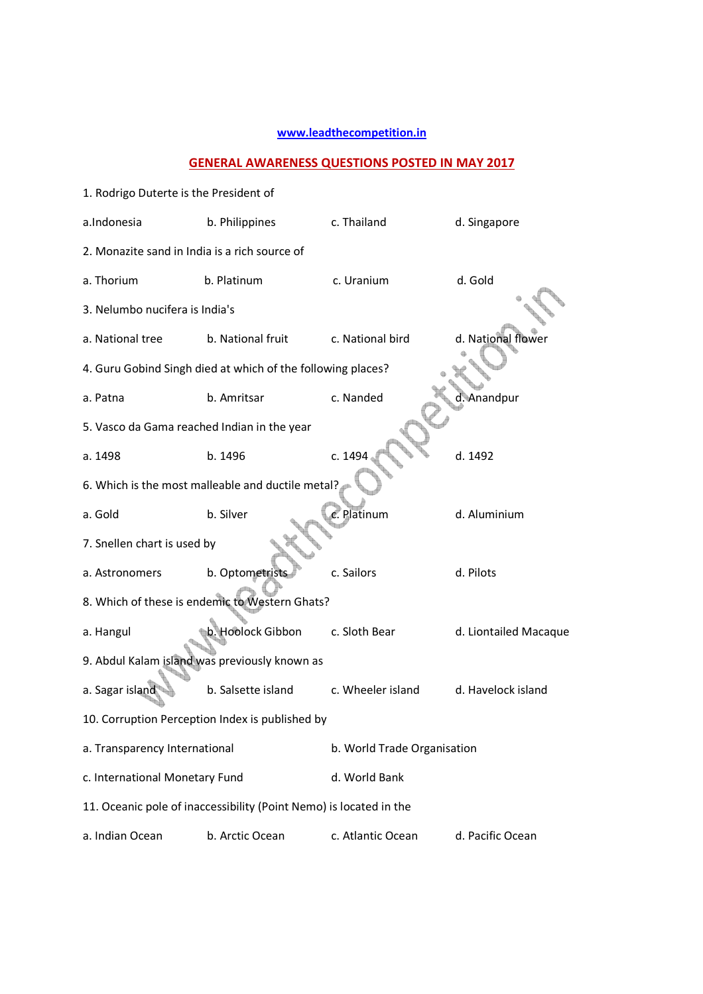## **www.leadthecompetition.in**

## **GENERAL AWARENESS QUESTIONS POSTED IN MAY 2017**

| 1. Rodrigo Duterte is the President of          |                                                                    |                             |                       |  |  |  |  |
|-------------------------------------------------|--------------------------------------------------------------------|-----------------------------|-----------------------|--|--|--|--|
| a.Indonesia                                     | b. Philippines                                                     | c. Thailand                 | d. Singapore          |  |  |  |  |
| 2. Monazite sand in India is a rich source of   |                                                                    |                             |                       |  |  |  |  |
| a. Thorium                                      | b. Platinum                                                        | c. Uranium                  | d. Gold               |  |  |  |  |
| 3. Nelumbo nucifera is India's                  |                                                                    |                             |                       |  |  |  |  |
| a. National tree                                | b. National fruit                                                  | c. National bird            | d. National flower    |  |  |  |  |
|                                                 | 4. Guru Gobind Singh died at which of the following places?        |                             |                       |  |  |  |  |
| a. Patna                                        | b. Amritsar                                                        | c. Nanded                   | d. Anandpur           |  |  |  |  |
| 5. Vasco da Gama reached Indian in the year     |                                                                    |                             |                       |  |  |  |  |
| a. 1498                                         | b. 1496                                                            | c. 1494                     | d. 1492               |  |  |  |  |
|                                                 | 6. Which is the most malleable and ductile metal?                  |                             |                       |  |  |  |  |
| a. Gold                                         | b. Silver                                                          | c. Platinum                 | d. Aluminium          |  |  |  |  |
| 7. Snellen chart is used by                     |                                                                    |                             |                       |  |  |  |  |
| a. Astronomers                                  | b. Optometrists                                                    | c. Sailors                  | d. Pilots             |  |  |  |  |
|                                                 | 8. Which of these is endemic to Western Ghats?                     |                             |                       |  |  |  |  |
| a. Hangul                                       | b. Hoolock Gibbon                                                  | c. Sloth Bear               | d. Liontailed Macaque |  |  |  |  |
|                                                 | 9. Abdul Kalam island was previously known as                      |                             |                       |  |  |  |  |
| a. Sagar island                                 | b. Salsette island                                                 | c. Wheeler island           | d. Havelock island    |  |  |  |  |
| 10. Corruption Perception Index is published by |                                                                    |                             |                       |  |  |  |  |
| a. Transparency International                   |                                                                    | b. World Trade Organisation |                       |  |  |  |  |
| c. International Monetary Fund                  |                                                                    | d. World Bank               |                       |  |  |  |  |
|                                                 | 11. Oceanic pole of inaccessibility (Point Nemo) is located in the |                             |                       |  |  |  |  |
| a. Indian Ocean                                 | b. Arctic Ocean                                                    | c. Atlantic Ocean           | d. Pacific Ocean      |  |  |  |  |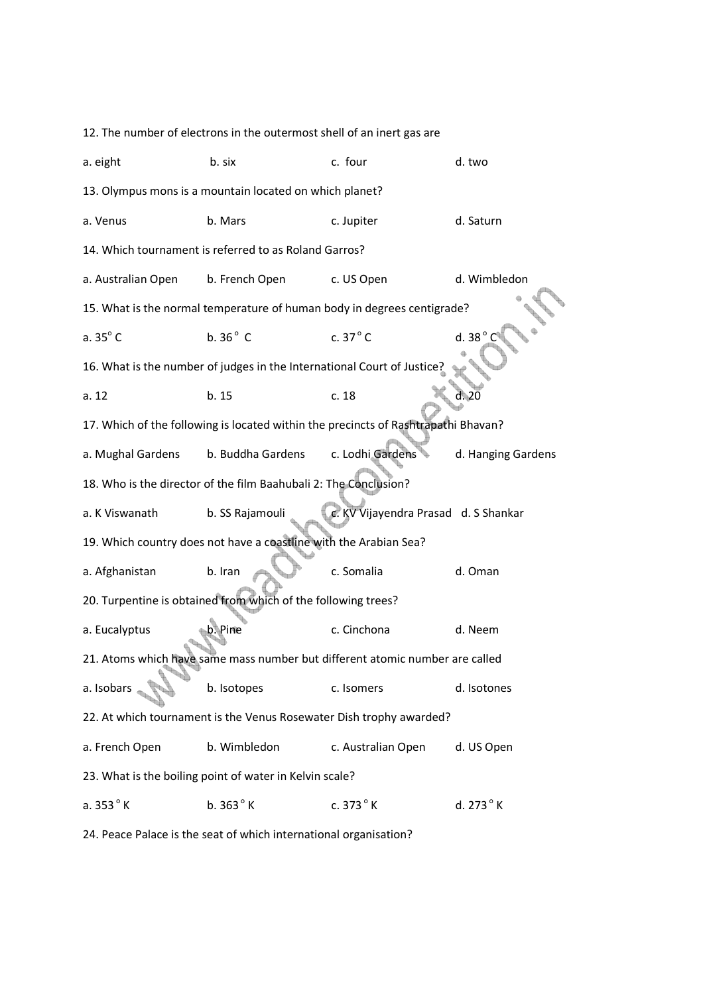12. The number of electrons in the outermost shell of an inert gas are a. eight b. six c. four c. four d. two 13. Olympus mons is a mountain located on which planet? a. Venus b. Mars c. Jupiter d. Saturn 14. Which tournament is referred to as Roland Garros? a. Australian Open b. French Open c. US Open d. Wimbledon 15. What is the normal temperature of human body in degrees centigrade? a.  $35^\circ$  C b.  $36^\circ$  C c.  $37^\circ$  C 16. What is the number of judges in the International Court of Justice? a. 12 b. 15 c. 18 d. 20 17. Which of the following is located within the precincts of Rashtrapathi Bhavan? a. Mughal Gardens b. Buddha Gardens c. Lodhi Gardens d. Hanging Gardens 18. Who is the director of the film Baahubali 2: The Conclusion? a. K Viswanath b. SS Rajamouli c. KV Vijayendra Prasad d. S Shankar 19. Which country does not have a coastline with the Arabian Sea? a. Afghanistan b. Iran c. Somalia d. Oman 20. Turpentine is obtained from which of the following trees? a. Eucalyptus b. Pine c. Cinchona d. Neem 21. Atoms which have same mass number but different atomic number are called a. Isobars b. Isotopes c. Isomers d. Isotones 22. At which tournament is the Venus Rosewater Dish trophy awarded? a. French Open b. Wimbledon c. Australian Open d. US Open 23. What is the boiling point of water in Kelvin scale? a.  $353^{\circ}$  K b.  $363^{\circ}$  K c.  $373^{\circ}$  K d.  $273^{\circ}$  K

24. Peace Palace is the seat of which international organisation?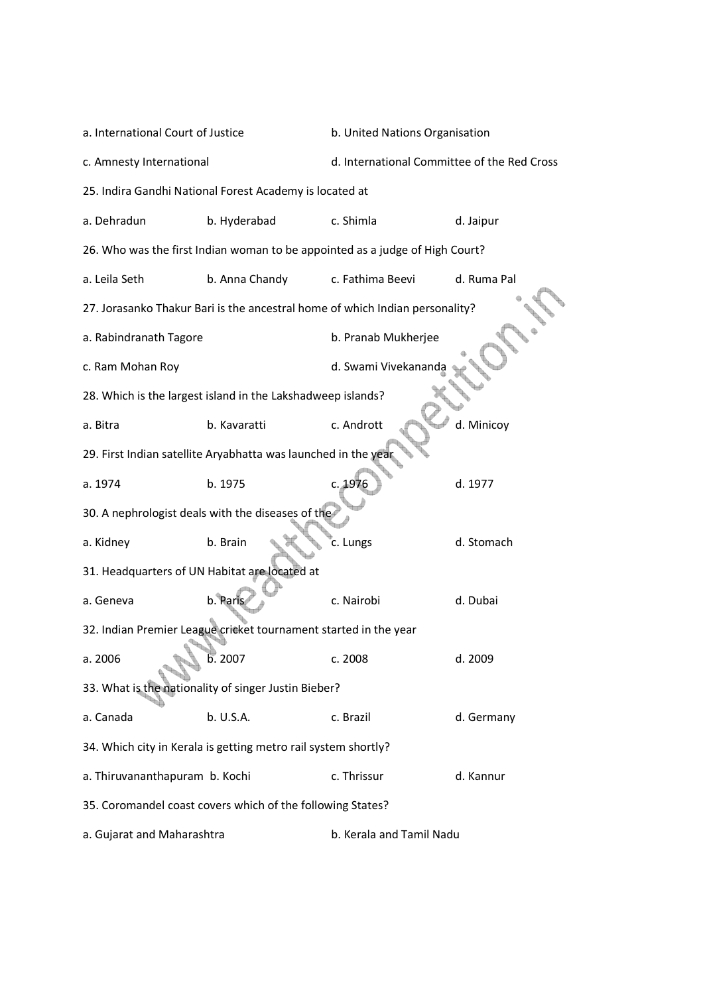| a. International Court of Justice                              |                                                                              | b. United Nations Organisation              |             |  |  |
|----------------------------------------------------------------|------------------------------------------------------------------------------|---------------------------------------------|-------------|--|--|
| c. Amnesty International                                       |                                                                              | d. International Committee of the Red Cross |             |  |  |
|                                                                | 25. Indira Gandhi National Forest Academy is located at                      |                                             |             |  |  |
| a. Dehradun                                                    | b. Hyderabad                                                                 | c. Shimla                                   | d. Jaipur   |  |  |
|                                                                | 26. Who was the first Indian woman to be appointed as a judge of High Court? |                                             |             |  |  |
| a. Leila Seth                                                  | b. Anna Chandy                                                               | c. Fathima Beevi                            | d. Ruma Pal |  |  |
|                                                                | 27. Jorasanko Thakur Bari is the ancestral home of which Indian personality? |                                             |             |  |  |
| a. Rabindranath Tagore                                         |                                                                              | b. Pranab Mukherjee                         |             |  |  |
| c. Ram Mohan Roy                                               |                                                                              | d. Swami Vivekananda                        |             |  |  |
|                                                                | 28. Which is the largest island in the Lakshadweep islands?                  |                                             |             |  |  |
| a. Bitra                                                       | b. Kavaratti                                                                 | c. Andrott                                  | d. Minicoy  |  |  |
|                                                                | 29. First Indian satellite Aryabhatta was launched in the year               |                                             |             |  |  |
| a. 1974                                                        | b. 1975                                                                      | c. 1976                                     | d. 1977     |  |  |
|                                                                | 30. A nephrologist deals with the diseases of the                            |                                             |             |  |  |
| a. Kidney                                                      | b. Brain                                                                     | c. Lungs                                    | d. Stomach  |  |  |
|                                                                | 31. Headquarters of UN Habitat are located at                                |                                             |             |  |  |
| a. Geneva                                                      | b. Paris                                                                     | c. Nairobi                                  | d. Dubai    |  |  |
|                                                                | 32. Indian Premier League cricket tournament started in the year             |                                             |             |  |  |
| a. 2006                                                        | b.2007                                                                       | c. 2008                                     | d. 2009     |  |  |
|                                                                | 33. What is the nationality of singer Justin Bieber?                         |                                             |             |  |  |
| a. Canada                                                      | b. U.S.A.                                                                    | c. Brazil                                   | d. Germany  |  |  |
| 34. Which city in Kerala is getting metro rail system shortly? |                                                                              |                                             |             |  |  |
| a. Thiruvananthapuram b. Kochi                                 |                                                                              | c. Thrissur                                 | d. Kannur   |  |  |
|                                                                | 35. Coromandel coast covers which of the following States?                   |                                             |             |  |  |
| a. Gujarat and Maharashtra                                     |                                                                              | b. Kerala and Tamil Nadu                    |             |  |  |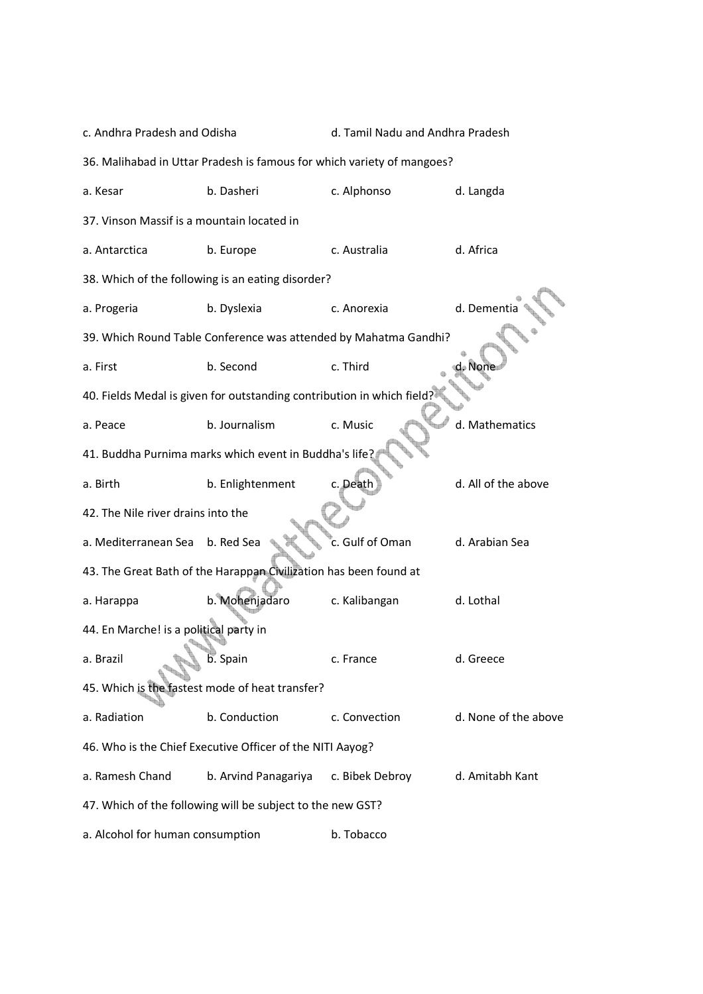| c. Andhra Pradesh and Odisha               |                                                                        | d. Tamil Nadu and Andhra Pradesh |                      |  |  |  |  |
|--------------------------------------------|------------------------------------------------------------------------|----------------------------------|----------------------|--|--|--|--|
|                                            | 36. Malihabad in Uttar Pradesh is famous for which variety of mangoes? |                                  |                      |  |  |  |  |
| a. Kesar                                   | b. Dasheri                                                             | c. Alphonso                      | d. Langda            |  |  |  |  |
| 37. Vinson Massif is a mountain located in |                                                                        |                                  |                      |  |  |  |  |
| a. Antarctica                              | b. Europe                                                              | c. Australia                     | d. Africa            |  |  |  |  |
|                                            | 38. Which of the following is an eating disorder?                      |                                  |                      |  |  |  |  |
| a. Progeria                                | b. Dyslexia                                                            | c. Anorexia                      | d. Dementia          |  |  |  |  |
|                                            | 39. Which Round Table Conference was attended by Mahatma Gandhi?       |                                  |                      |  |  |  |  |
| a. First                                   | b. Second                                                              | c. Third                         | ⊕ Nont               |  |  |  |  |
|                                            | 40. Fields Medal is given for outstanding contribution in which field? |                                  |                      |  |  |  |  |
| a. Peace                                   | b. Journalism                                                          | c. Music                         | d. Mathematics       |  |  |  |  |
|                                            | 41. Buddha Purnima marks which event in Buddha's life?                 |                                  |                      |  |  |  |  |
| a. Birth                                   | b. Enlightenment                                                       | c. Death                         | d. All of the above  |  |  |  |  |
| 42. The Nile river drains into the         |                                                                        |                                  |                      |  |  |  |  |
| a. Mediterranean Sea                       | b. Red Sea                                                             | c. Gulf of Oman                  | d. Arabian Sea       |  |  |  |  |
|                                            | 43. The Great Bath of the Harappan Civilization has been found at      |                                  |                      |  |  |  |  |
| a. Harappa                                 | b. Mohenjadaro                                                         | c. Kalibangan                    | d. Lothal            |  |  |  |  |
| 44. En Marche! is a political party in     |                                                                        |                                  |                      |  |  |  |  |
| a. Brazil                                  | b. Spain                                                               | c. France                        | d. Greece            |  |  |  |  |
|                                            | 45. Which is the fastest mode of heat transfer?                        |                                  |                      |  |  |  |  |
| a. Radiation                               | b. Conduction                                                          | c. Convection                    | d. None of the above |  |  |  |  |
|                                            | 46. Who is the Chief Executive Officer of the NITI Aayog?              |                                  |                      |  |  |  |  |
| a. Ramesh Chand                            | b. Arvind Panagariya                                                   | c. Bibek Debroy                  | d. Amitabh Kant      |  |  |  |  |
|                                            | 47. Which of the following will be subject to the new GST?             |                                  |                      |  |  |  |  |
| a. Alcohol for human consumption           |                                                                        | b. Tobacco                       |                      |  |  |  |  |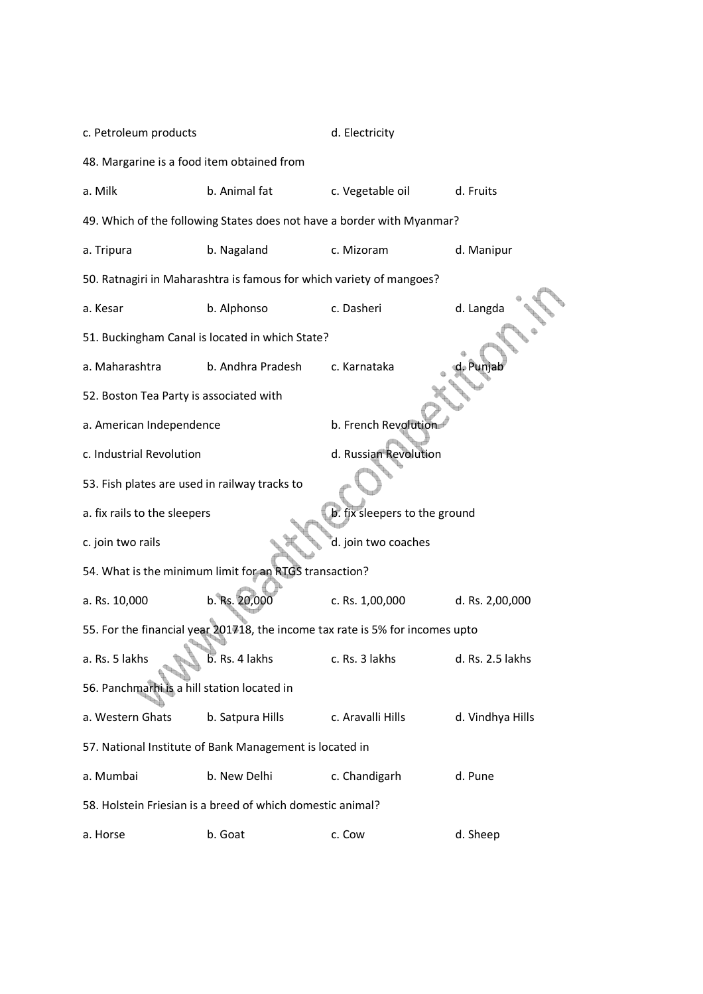| c. Petroleum products                         |                                                                      | d. Electricity                                                                |                  |  |
|-----------------------------------------------|----------------------------------------------------------------------|-------------------------------------------------------------------------------|------------------|--|
| 48. Margarine is a food item obtained from    |                                                                      |                                                                               |                  |  |
| a. Milk                                       | b. Animal fat                                                        | c. Vegetable oil                                                              | d. Fruits        |  |
|                                               |                                                                      | 49. Which of the following States does not have a border with Myanmar?        |                  |  |
| a. Tripura                                    | b. Nagaland                                                          | c. Mizoram                                                                    | d. Manipur       |  |
|                                               | 50. Ratnagiri in Maharashtra is famous for which variety of mangoes? |                                                                               |                  |  |
| a. Kesar                                      | b. Alphonso                                                          | c. Dasheri                                                                    | d. Langda        |  |
|                                               | 51. Buckingham Canal is located in which State?                      |                                                                               |                  |  |
| a. Maharashtra                                | b. Andhra Pradesh                                                    | c. Karnataka                                                                  |                  |  |
| 52. Boston Tea Party is associated with       |                                                                      |                                                                               |                  |  |
| a. American Independence                      |                                                                      | b. French Revolution                                                          |                  |  |
| c. Industrial Revolution                      |                                                                      | d. Russian Revolution                                                         |                  |  |
| 53. Fish plates are used in railway tracks to |                                                                      |                                                                               |                  |  |
| a. fix rails to the sleepers                  |                                                                      | b. fix sleepers to the ground                                                 |                  |  |
| c. join two rails                             |                                                                      | d. join two coaches                                                           |                  |  |
|                                               | 54. What is the minimum limit for an RTGS transaction?               |                                                                               |                  |  |
| a. Rs. 10,000                                 | b. Rs. 20,000                                                        | c. Rs. 1,00,000                                                               | d. Rs. 2,00,000  |  |
|                                               |                                                                      | 55. For the financial year 201718, the income tax rate is 5% for incomes upto |                  |  |
| a. Rs. 5 lakhs                                | b. Rs. 4 lakhs                                                       | c. Rs. 3 lakhs                                                                | d. Rs. 2.5 lakhs |  |
| 56. Panchmarhi is a hill station located in   |                                                                      |                                                                               |                  |  |
| a. Western Ghats                              | b. Satpura Hills                                                     | c. Aravalli Hills                                                             | d. Vindhya Hills |  |
|                                               | 57. National Institute of Bank Management is located in              |                                                                               |                  |  |
| a. Mumbai                                     | b. New Delhi                                                         | c. Chandigarh                                                                 | d. Pune          |  |
|                                               | 58. Holstein Friesian is a breed of which domestic animal?           |                                                                               |                  |  |
| a. Horse                                      | b. Goat                                                              | c. Cow                                                                        | d. Sheep         |  |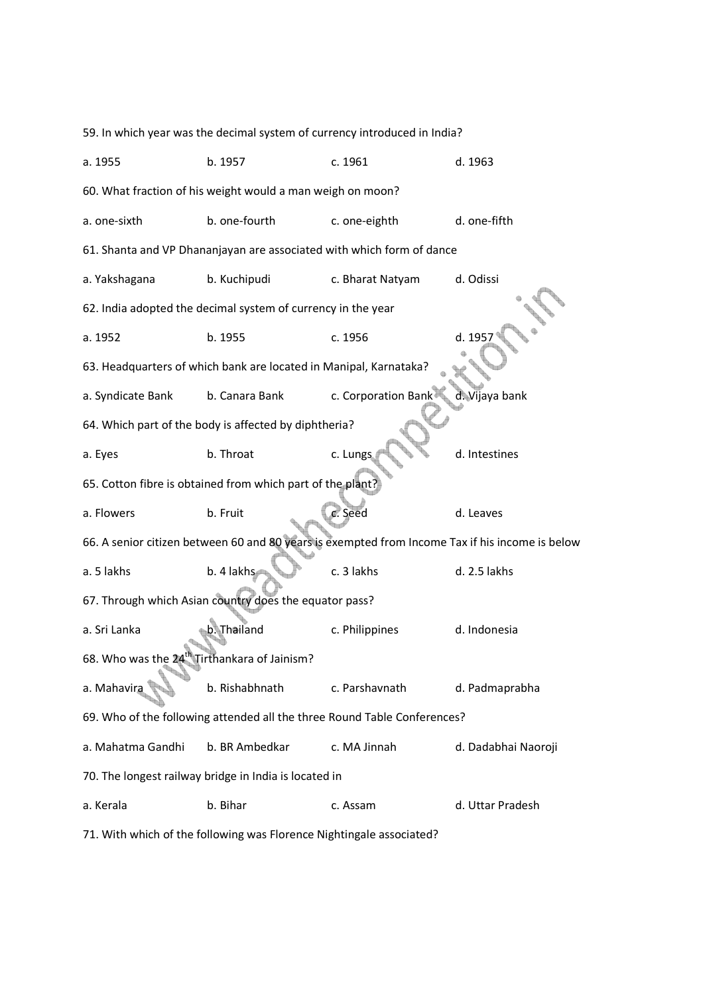|                                                            | 59. In which year was the decimal system of currency introduced in India? |                     |                                                                                                 |
|------------------------------------------------------------|---------------------------------------------------------------------------|---------------------|-------------------------------------------------------------------------------------------------|
| a. 1955                                                    | b. 1957                                                                   | c. 1961             | d. 1963                                                                                         |
| 60. What fraction of his weight would a man weigh on moon? |                                                                           |                     |                                                                                                 |
| a. one-sixth                                               | b. one-fourth                                                             | c. one-eighth       | d. one-fifth                                                                                    |
|                                                            | 61. Shanta and VP Dhananjayan are associated with which form of dance     |                     |                                                                                                 |
| a. Yakshagana                                              | b. Kuchipudi                                                              | c. Bharat Natyam    | d. Odissi                                                                                       |
|                                                            | 62. India adopted the decimal system of currency in the year              |                     |                                                                                                 |
| a. 1952                                                    | b. 1955                                                                   | c. 1956             | d. 1957                                                                                         |
|                                                            | 63. Headquarters of which bank are located in Manipal, Karnataka?         |                     |                                                                                                 |
| a. Syndicate Bank                                          | b. Canara Bank                                                            | c. Corporation Bank | d. Vijaya bank                                                                                  |
|                                                            | 64. Which part of the body is affected by diphtheria?                     |                     |                                                                                                 |
| a. Eyes                                                    | b. Throat                                                                 | c. Lungs            | d. Intestines                                                                                   |
|                                                            | 65. Cotton fibre is obtained from which part of the plant?                |                     |                                                                                                 |
| a. Flowers                                                 | b. Fruit                                                                  | c. Seed             | d. Leaves                                                                                       |
|                                                            |                                                                           |                     | 66. A senior citizen between 60 and 80 years is exempted from Income Tax if his income is below |
| a. 5 lakhs                                                 | b. 4 lakhs                                                                | c. 3 lakhs          | d. 2.5 lakhs                                                                                    |
|                                                            | 67. Through which Asian country does the equator pass?                    |                     |                                                                                                 |
| a. Sri Lanka                                               | b. Thailand                                                               | c. Philippines      | d. Indonesia                                                                                    |
| 68. Who was the 24 <sup>th</sup> Tirthankara of Jainism?   |                                                                           |                     |                                                                                                 |
| a. Mahavira                                                | b. Rishabhnath                                                            | c. Parshavnath      | d. Padmaprabha                                                                                  |
|                                                            | 69. Who of the following attended all the three Round Table Conferences?  |                     |                                                                                                 |
| a. Mahatma Gandhi                                          | b. BR Ambedkar                                                            | c. MA Jinnah        | d. Dadabhai Naoroji                                                                             |
|                                                            | 70. The longest railway bridge in India is located in                     |                     |                                                                                                 |
| a. Kerala                                                  | b. Bihar                                                                  | c. Assam            | d. Uttar Pradesh                                                                                |
|                                                            |                                                                           |                     |                                                                                                 |

71. With which of the following was Florence Nightingale associated?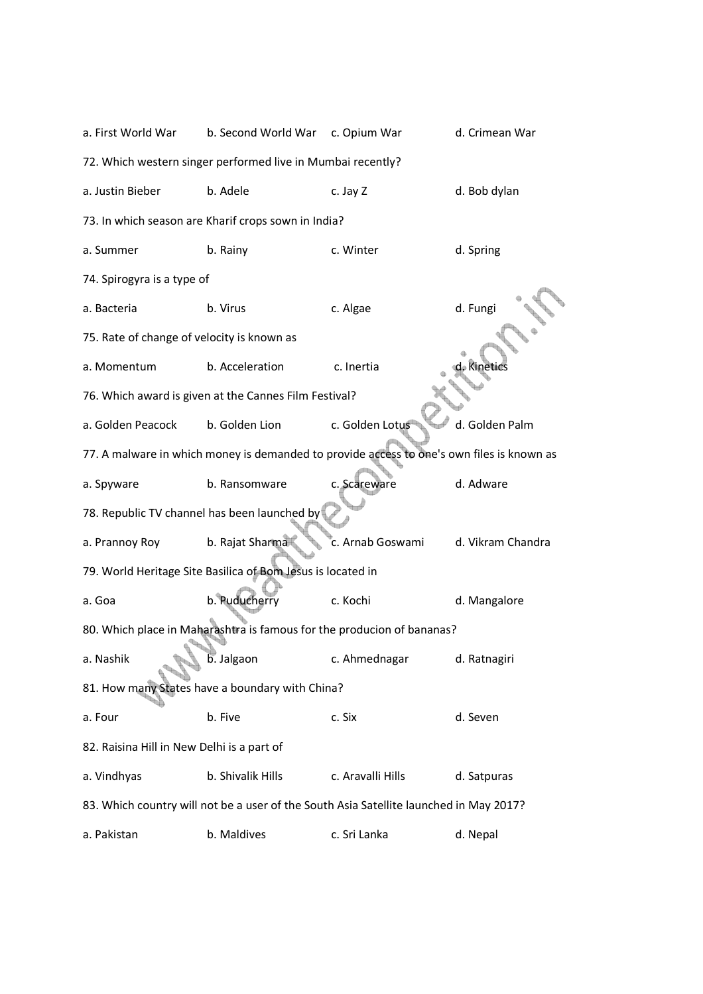| a. First World War                                                                        | b. Second World War                                                                    | c. Opium War      | d. Crimean War    |  |  |  |
|-------------------------------------------------------------------------------------------|----------------------------------------------------------------------------------------|-------------------|-------------------|--|--|--|
|                                                                                           | 72. Which western singer performed live in Mumbai recently?                            |                   |                   |  |  |  |
| a. Justin Bieber                                                                          | b. Adele                                                                               | c. Jay Z          | d. Bob dylan      |  |  |  |
|                                                                                           | 73. In which season are Kharif crops sown in India?                                    |                   |                   |  |  |  |
| a. Summer                                                                                 | b. Rainy                                                                               | c. Winter         | d. Spring         |  |  |  |
| 74. Spirogyra is a type of                                                                |                                                                                        |                   |                   |  |  |  |
| a. Bacteria                                                                               | b. Virus                                                                               | c. Algae          | d. Fungi          |  |  |  |
| 75. Rate of change of velocity is known as                                                |                                                                                        |                   |                   |  |  |  |
| a. Momentum                                                                               | b. Acceleration                                                                        | c. Inertia        | d. Kinetics       |  |  |  |
|                                                                                           | 76. Which award is given at the Cannes Film Festival?                                  |                   |                   |  |  |  |
| a. Golden Peacock                                                                         | b. Golden Lion                                                                         | c. Golden Lotus   | d. Golden Palm    |  |  |  |
| 77. A malware in which money is demanded to provide access to one's own files is known as |                                                                                        |                   |                   |  |  |  |
| a. Spyware                                                                                | b. Ransomware                                                                          | c. Scareware      | d. Adware         |  |  |  |
| 78. Republic TV channel has been launched by                                              |                                                                                        |                   |                   |  |  |  |
| a. Prannoy Roy                                                                            | b. Rajat Sharma                                                                        | c. Arnab Goswami  | d. Vikram Chandra |  |  |  |
|                                                                                           | 79. World Heritage Site Basilica of Bom Jesus is located in                            |                   |                   |  |  |  |
| a. Goa                                                                                    | b. Puducherry                                                                          | c. Kochi          | d. Mangalore      |  |  |  |
|                                                                                           | 80. Which place in Maharashtra is famous for the producion of bananas?                 |                   |                   |  |  |  |
| a. Nashik                                                                                 | b. Jalgaon                                                                             | c. Ahmednagar     | d. Ratnagiri      |  |  |  |
|                                                                                           | 81. How many States have a boundary with China?                                        |                   |                   |  |  |  |
| a. Four                                                                                   | b. Five                                                                                | c. Six            | d. Seven          |  |  |  |
| 82. Raisina Hill in New Delhi is a part of                                                |                                                                                        |                   |                   |  |  |  |
| a. Vindhyas                                                                               | b. Shivalik Hills                                                                      | c. Aravalli Hills | d. Satpuras       |  |  |  |
|                                                                                           | 83. Which country will not be a user of the South Asia Satellite launched in May 2017? |                   |                   |  |  |  |
| a. Pakistan                                                                               | b. Maldives                                                                            | c. Sri Lanka      | d. Nepal          |  |  |  |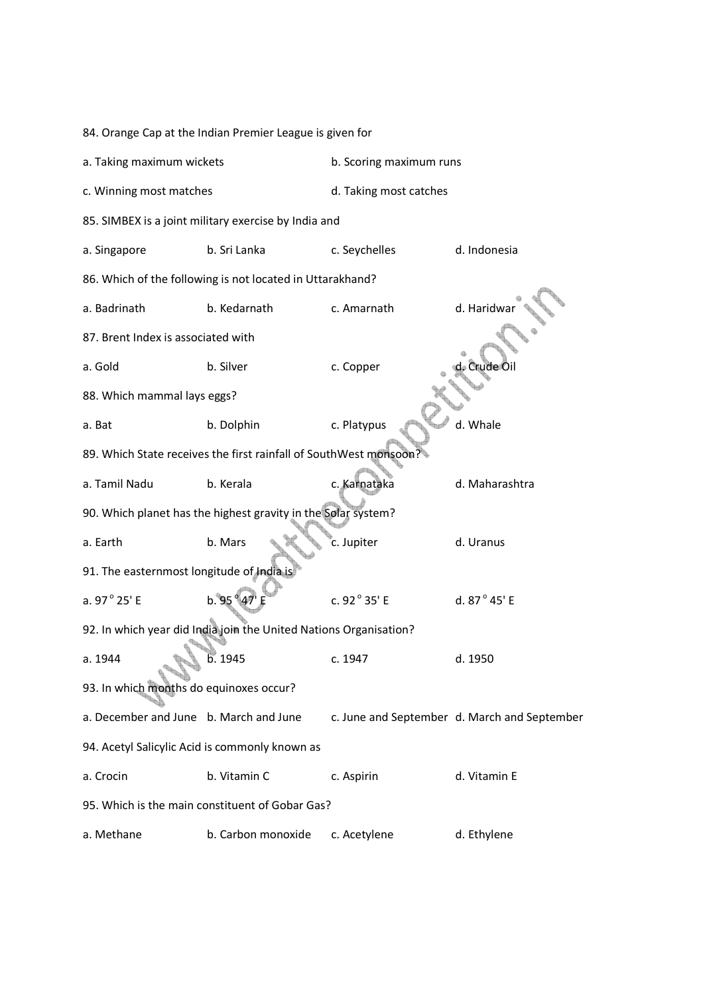| 84. Orange Cap at the Indian Premier League is given for         |                         |                                                                                                                                                                                                                                                                                                            |  |  |  |  |
|------------------------------------------------------------------|-------------------------|------------------------------------------------------------------------------------------------------------------------------------------------------------------------------------------------------------------------------------------------------------------------------------------------------------|--|--|--|--|
| a. Taking maximum wickets                                        | b. Scoring maximum runs |                                                                                                                                                                                                                                                                                                            |  |  |  |  |
| c. Winning most matches                                          | d. Taking most catches  |                                                                                                                                                                                                                                                                                                            |  |  |  |  |
|                                                                  |                         |                                                                                                                                                                                                                                                                                                            |  |  |  |  |
| b. Sri Lanka                                                     | c. Seychelles           | d. Indonesia                                                                                                                                                                                                                                                                                               |  |  |  |  |
|                                                                  |                         |                                                                                                                                                                                                                                                                                                            |  |  |  |  |
| b. Kedarnath                                                     | c. Amarnath             | d. Haridwa                                                                                                                                                                                                                                                                                                 |  |  |  |  |
| 87. Brent Index is associated with                               |                         |                                                                                                                                                                                                                                                                                                            |  |  |  |  |
| b. Silver                                                        | c. Copper               | . Crude Oil                                                                                                                                                                                                                                                                                                |  |  |  |  |
| 88. Which mammal lays eggs?                                      |                         |                                                                                                                                                                                                                                                                                                            |  |  |  |  |
| b. Dolphin                                                       | c. Platypus             | d. Whale                                                                                                                                                                                                                                                                                                   |  |  |  |  |
| 89. Which State receives the first rainfall of SouthWest monsoon |                         |                                                                                                                                                                                                                                                                                                            |  |  |  |  |
| b. Kerala                                                        | c. Karnataka            | d. Maharashtra                                                                                                                                                                                                                                                                                             |  |  |  |  |
|                                                                  |                         |                                                                                                                                                                                                                                                                                                            |  |  |  |  |
| b. Mars                                                          | c. Jupiter              | d. Uranus                                                                                                                                                                                                                                                                                                  |  |  |  |  |
| 91. The easternmost longitude of India is                        |                         |                                                                                                                                                                                                                                                                                                            |  |  |  |  |
| b. 95                                                            | c. 92° 35' E            | d. 87° 45' E                                                                                                                                                                                                                                                                                               |  |  |  |  |
|                                                                  |                         |                                                                                                                                                                                                                                                                                                            |  |  |  |  |
| b. 1945                                                          | c. 1947                 | d. 1950                                                                                                                                                                                                                                                                                                    |  |  |  |  |
| 93. In which months do equinoxes occur?                          |                         |                                                                                                                                                                                                                                                                                                            |  |  |  |  |
| a. December and June b. March and June                           |                         | c. June and September d. March and September                                                                                                                                                                                                                                                               |  |  |  |  |
| 94. Acetyl Salicylic Acid is commonly known as                   |                         |                                                                                                                                                                                                                                                                                                            |  |  |  |  |
| b. Vitamin C                                                     | c. Aspirin              | d. Vitamin E                                                                                                                                                                                                                                                                                               |  |  |  |  |
|                                                                  |                         |                                                                                                                                                                                                                                                                                                            |  |  |  |  |
| b. Carbon monoxide                                               | c. Acetylene            | d. Ethylene                                                                                                                                                                                                                                                                                                |  |  |  |  |
|                                                                  |                         | 85. SIMBEX is a joint military exercise by India and<br>86. Which of the following is not located in Uttarakhand?<br>90. Which planet has the highest gravity in the Solar system?<br>92. In which year did India join the United Nations Organisation?<br>95. Which is the main constituent of Gobar Gas? |  |  |  |  |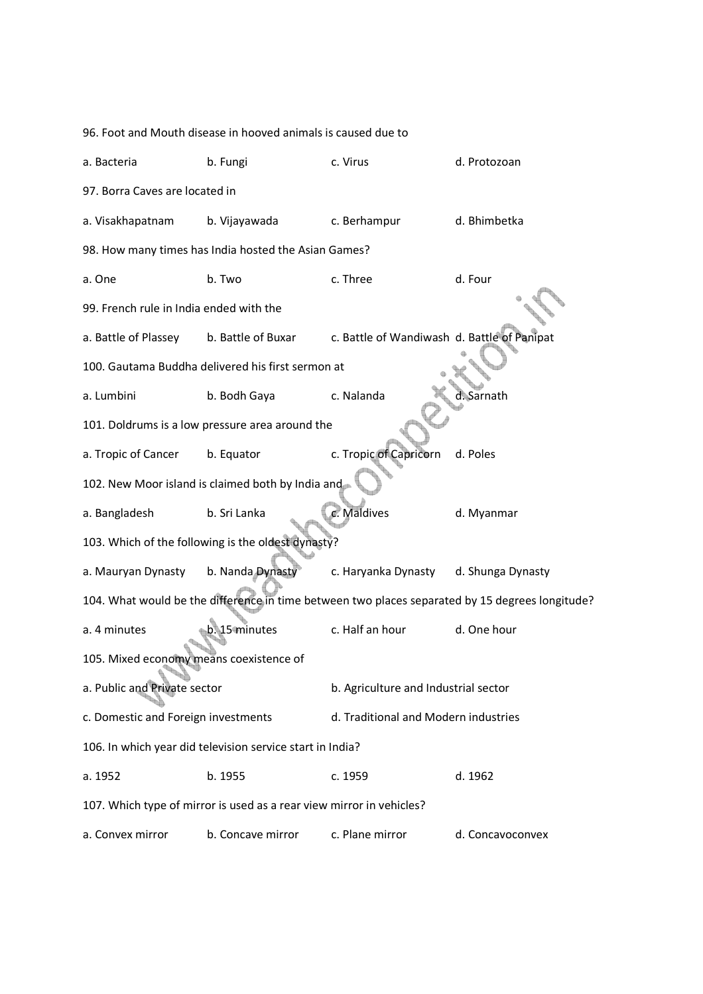96. Foot and Mouth disease in hooved animals is caused due to a. Bacteria b. Fungi c. Virus d. Protozoan 97. Borra Caves are located in a. Visakhapatnam b. Vijayawada c. Berhampur d. Bhimbetka 98. How many times has India hosted the Asian Games? a. One b. Two c. Three d. Four 99. French rule in India ended with the a. Battle of Plassey b. Battle of Buxar c. Battle of Wandiwash d. Battle of Panipat 100. Gautama Buddha delivered his first sermon at a. Lumbini b. Bodh Gaya c. Nalanda d. Sarnath 101. Doldrums is a low pressure area around the a. Tropic of Cancer b. Equator c. Tropic of Capricorn d. Poles 102. New Moor island is claimed both by India and a. Bangladesh b. Sri Lanka c. Maldives d. Myanmar 103. Which of the following is the oldest dynasty? a. Mauryan Dynasty b. Nanda Dynasty c. Haryanka Dynasty d. Shunga Dynasty 104. What would be the difference in time between two places separated by 15 degrees longitude? a. 4 minutes b. 15 minutes c. Half an hour d. One hour 105. Mixed economy means coexistence of a. Public and Private sector b. Agriculture and Industrial sector c. Domestic and Foreign investments d. Traditional and Modern industries 106. In which year did television service start in India? a. 1952 b. 1955 c. 1959 d. 1962 107. Which type of mirror is used as a rear view mirror in vehicles? a. Convex mirror b. Concave mirror c. Plane mirror d. Concavoconvex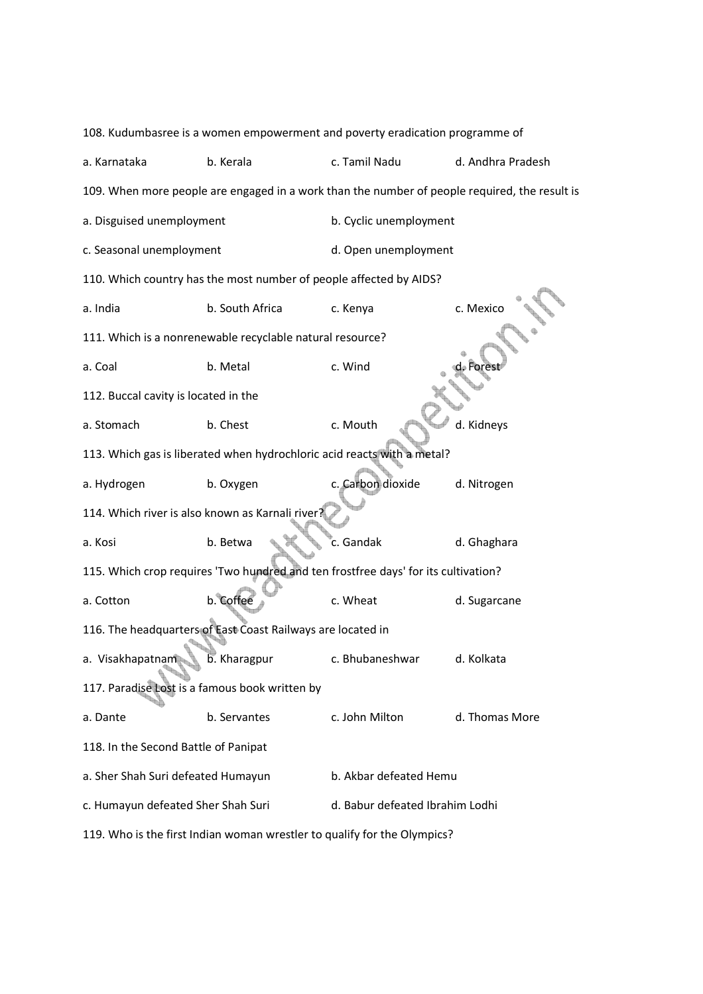| 108. Kudumbasree is a women empowerment and poverty eradication programme of |                                                                                    |                                 |                                                                                               |  |  |  |
|------------------------------------------------------------------------------|------------------------------------------------------------------------------------|---------------------------------|-----------------------------------------------------------------------------------------------|--|--|--|
| a. Karnataka                                                                 | b. Kerala                                                                          | c. Tamil Nadu                   | d. Andhra Pradesh                                                                             |  |  |  |
|                                                                              |                                                                                    |                                 | 109. When more people are engaged in a work than the number of people required, the result is |  |  |  |
| a. Disguised unemployment                                                    |                                                                                    | b. Cyclic unemployment          |                                                                                               |  |  |  |
| c. Seasonal unemployment                                                     |                                                                                    | d. Open unemployment            |                                                                                               |  |  |  |
|                                                                              | 110. Which country has the most number of people affected by AIDS?                 |                                 |                                                                                               |  |  |  |
| a. India                                                                     | b. South Africa                                                                    | c. Kenya                        | c. Mexico                                                                                     |  |  |  |
|                                                                              | 111. Which is a nonrenewable recyclable natural resource?                          |                                 |                                                                                               |  |  |  |
| a. Coal                                                                      | b. Metal                                                                           | c. Wind                         | d. Fores                                                                                      |  |  |  |
| 112. Buccal cavity is located in the                                         |                                                                                    |                                 |                                                                                               |  |  |  |
| a. Stomach                                                                   | b. Chest                                                                           | c. Mouth                        | d. Kidneys                                                                                    |  |  |  |
| 113. Which gas is liberated when hydrochloric acid reacts with a metal?      |                                                                                    |                                 |                                                                                               |  |  |  |
| a. Hydrogen                                                                  | b. Oxygen                                                                          | c. Carbon dioxide               | d. Nitrogen                                                                                   |  |  |  |
|                                                                              | 114. Which river is also known as Karnali river?                                   |                                 |                                                                                               |  |  |  |
| a. Kosi                                                                      | b. Betwa                                                                           | c. Gandak                       | d. Ghaghara                                                                                   |  |  |  |
|                                                                              | 115. Which crop requires 'Two hundred and ten frostfree days' for its cultivation? |                                 |                                                                                               |  |  |  |
| a. Cotton                                                                    | b. Coffee                                                                          | c. Wheat                        | d. Sugarcane                                                                                  |  |  |  |
|                                                                              | 116. The headquarters of East Coast Railways are located in                        |                                 |                                                                                               |  |  |  |
| a. Visakhapatnam                                                             | b. Kharagpur                                                                       | c. Bhubaneshwar                 | d. Kolkata                                                                                    |  |  |  |
|                                                                              | 117. Paradise Lost is a famous book written by                                     |                                 |                                                                                               |  |  |  |
| a. Dante                                                                     | b. Servantes                                                                       | c. John Milton                  | d. Thomas More                                                                                |  |  |  |
| 118. In the Second Battle of Panipat                                         |                                                                                    |                                 |                                                                                               |  |  |  |
| a. Sher Shah Suri defeated Humayun                                           |                                                                                    | b. Akbar defeated Hemu          |                                                                                               |  |  |  |
| c. Humayun defeated Sher Shah Suri                                           |                                                                                    | d. Babur defeated Ibrahim Lodhi |                                                                                               |  |  |  |
| 119. Who is the first Indian woman wrestler to qualify for the Olympics?     |                                                                                    |                                 |                                                                                               |  |  |  |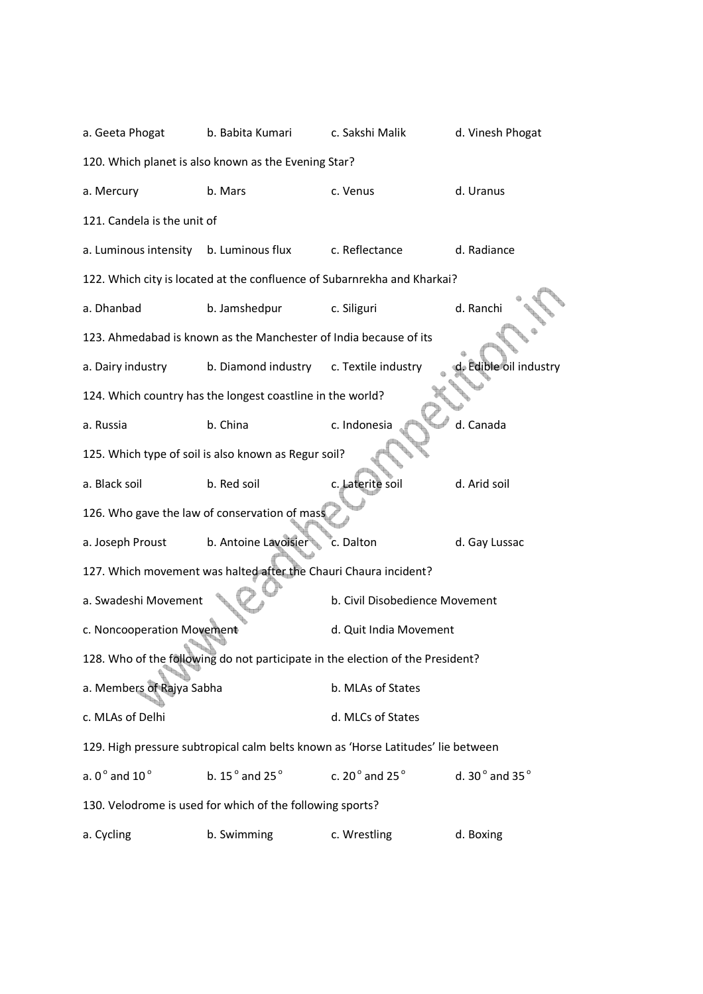| a. Geeta Phogat                                      | b. Babita Kumari                                                                 | c. Sakshi Malik                    | d. Vinesh Phogat                   |  |  |  |  |  |
|------------------------------------------------------|----------------------------------------------------------------------------------|------------------------------------|------------------------------------|--|--|--|--|--|
|                                                      | 120. Which planet is also known as the Evening Star?                             |                                    |                                    |  |  |  |  |  |
| a. Mercury                                           | b. Mars                                                                          | c. Venus                           | d. Uranus                          |  |  |  |  |  |
| 121. Candela is the unit of                          |                                                                                  |                                    |                                    |  |  |  |  |  |
| a. Luminous intensity                                | b. Luminous flux                                                                 | c. Reflectance                     | d. Radiance                        |  |  |  |  |  |
|                                                      | 122. Which city is located at the confluence of Subarnrekha and Kharkai?         |                                    |                                    |  |  |  |  |  |
| a. Dhanbad                                           | b. Jamshedpur                                                                    | c. Siliguri                        | d. Ranchi                          |  |  |  |  |  |
|                                                      | 123. Ahmedabad is known as the Manchester of India because of its                |                                    |                                    |  |  |  |  |  |
| a. Dairy industry                                    | b. Diamond industry                                                              | c. Textile industry                | d. Edible oil industry             |  |  |  |  |  |
|                                                      | 124. Which country has the longest coastline in the world?                       |                                    |                                    |  |  |  |  |  |
| a. Russia                                            | b. China                                                                         | c. Indonesia                       | d. Canada                          |  |  |  |  |  |
| 125. Which type of soil is also known as Regur soil? |                                                                                  |                                    |                                    |  |  |  |  |  |
| a. Black soil                                        | b. Red soil                                                                      | c. Laterite soil                   | d. Arid soil                       |  |  |  |  |  |
|                                                      | 126. Who gave the law of conservation of mass                                    |                                    |                                    |  |  |  |  |  |
| a. Joseph Proust                                     | b. Antoine Lavoisier                                                             | c. Dalton                          | d. Gay Lussac                      |  |  |  |  |  |
|                                                      | 127. Which movement was halted after the Chauri Chaura incident?                 |                                    |                                    |  |  |  |  |  |
| a. Swadeshi Movement                                 |                                                                                  | b. Civil Disobedience Movement     |                                    |  |  |  |  |  |
| c. Noncooperation Movement                           |                                                                                  | d. Quit India Movement             |                                    |  |  |  |  |  |
|                                                      | 128. Who of the following do not participate in the election of the President?   |                                    |                                    |  |  |  |  |  |
| a. Members of Rajya Sabha                            |                                                                                  | b. MLAs of States                  |                                    |  |  |  |  |  |
| c. MLAs of Delhi                                     |                                                                                  | d. MLCs of States                  |                                    |  |  |  |  |  |
|                                                      | 129. High pressure subtropical calm belts known as 'Horse Latitudes' lie between |                                    |                                    |  |  |  |  |  |
| a. $0^{\circ}$ and $10^{\circ}$                      | b. 15 $^{\circ}$ and 25 $^{\circ}$                                               | c. 20 $^{\circ}$ and 25 $^{\circ}$ | d. 30 $^{\circ}$ and 35 $^{\circ}$ |  |  |  |  |  |
|                                                      | 130. Velodrome is used for which of the following sports?                        |                                    |                                    |  |  |  |  |  |
| a. Cycling                                           | b. Swimming                                                                      | c. Wrestling                       | d. Boxing                          |  |  |  |  |  |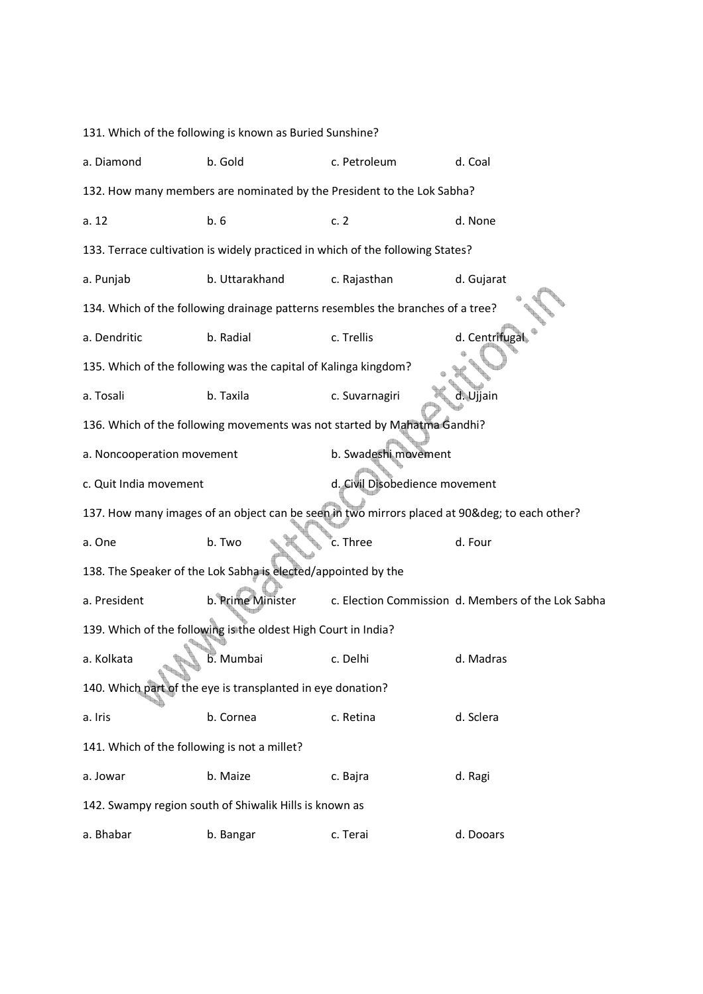131. Which of the following is known as Buried Sunshine? a. Diamond b. Gold c. Petroleum d. Coal 132. How many members are nominated by the President to the Lok Sabha? a. 12 **b. 6 c. 2** d. None 133. Terrace cultivation is widely practiced in which of the following States? a. Punjab b. Uttarakhand c. Rajasthan d. Gujarat 134. Which of the following drainage patterns resembles the branches of a tree? a. Dendritic b. Radial c. Trellis d. Centrifugal 135. Which of the following was the capital of Kalinga kingdom? a. Tosali b. Taxila c. Suvarnagiri d. Ujjain 136. Which of the following movements was not started by Mahatma Gandhi? a. Noncooperation movement b. Swadeshi movement c. Quit India movement d. Civil Disobedience movement 137. How many images of an object can be seen in two mirrors placed at 90& deg; to each other? a. One b. Two  $\mathbb{R}$  c. Three d. Four 138. The Speaker of the Lok Sabha is elected/appointed by the a. President b. Prime Minister c. Election Commission d. Members of the Lok Sabha 139. Which of the following is the oldest High Court in India? a. Kolkata b. Mumbai c. Delhi d. Madras 140. Which part of the eye is transplanted in eye donation? a. Iris b. Cornea c. Retina d. Sclera 141. Which of the following is not a millet? a. Jowar b. Maize c. Bajra d. Ragi 142. Swampy region south of Shiwalik Hills is known as a. Bhabar b. Bangar c. Terai d. Dooars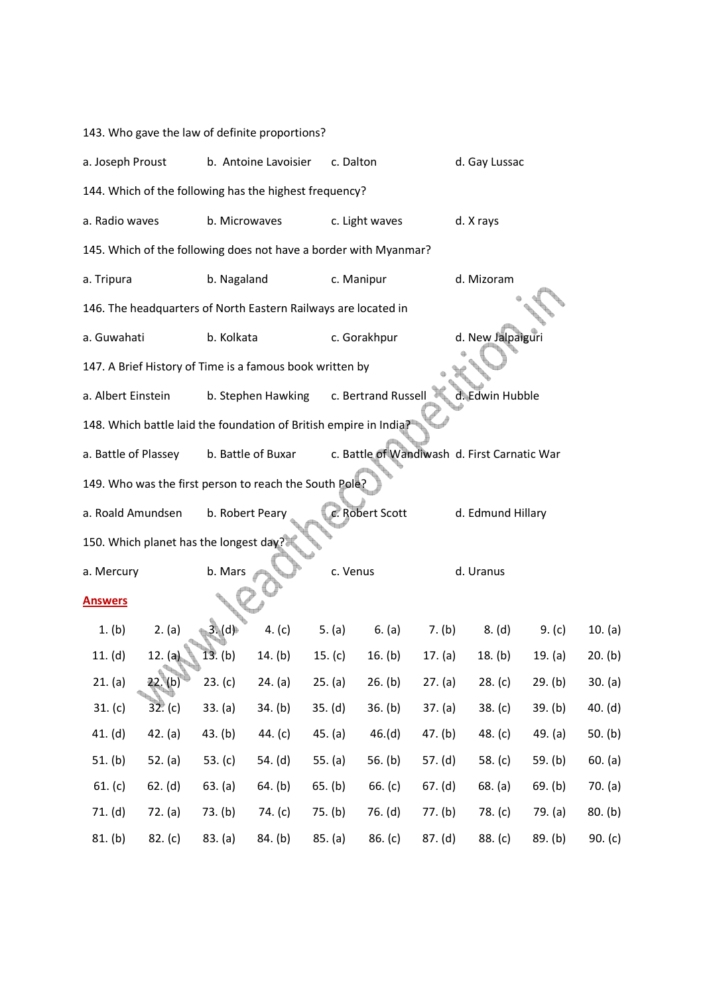143. Who gave the law of definite proportions?

| a. Joseph Proust                                                 |                                                                                            |                 | b. Antoine Lavoisier | c. Dalton |                     |           | d. Gay Lussac     |           |           |
|------------------------------------------------------------------|--------------------------------------------------------------------------------------------|-----------------|----------------------|-----------|---------------------|-----------|-------------------|-----------|-----------|
|                                                                  | 144. Which of the following has the highest frequency?                                     |                 |                      |           |                     |           |                   |           |           |
| a. Radio waves                                                   |                                                                                            | b. Microwaves   |                      |           | c. Light waves      |           | d. X rays         |           |           |
| 145. Which of the following does not have a border with Myanmar? |                                                                                            |                 |                      |           |                     |           |                   |           |           |
| a. Tripura                                                       |                                                                                            | b. Nagaland     |                      |           | c. Manipur          |           | d. Mizoram        |           |           |
|                                                                  | 146. The headquarters of North Eastern Railways are located in                             |                 |                      |           |                     |           |                   |           |           |
| a. Guwahati                                                      |                                                                                            | b. Kolkata      |                      |           | c. Gorakhpur        |           | d. New Jalpaiguri |           |           |
|                                                                  | 147. A Brief History of Time is a famous book written by                                   |                 |                      |           |                     |           |                   |           |           |
| a. Albert Einstein                                               |                                                                                            |                 | b. Stephen Hawking   |           | c. Bertrand Russell |           | d. Edwin Hubble   |           |           |
|                                                                  | 148. Which battle laid the foundation of British empire in India?                          |                 |                      |           |                     |           |                   |           |           |
|                                                                  | c. Battle of Wandiwash d. First Carnatic War<br>a. Battle of Plassey<br>b. Battle of Buxar |                 |                      |           |                     |           |                   |           |           |
|                                                                  | 149. Who was the first person to reach the South Pole?                                     |                 |                      |           |                     |           |                   |           |           |
| a. Roald Amundsen                                                |                                                                                            | b. Robert Peary |                      |           | c. Robert Scott     |           | d. Edmund Hillary |           |           |
|                                                                  | 150. Which planet has the longest day?                                                     |                 |                      |           |                     |           |                   |           |           |
| a. Mercury                                                       |                                                                                            | b. Mars         |                      | c. Venus  |                     |           | d. Uranus         |           |           |
| <b>Answers</b>                                                   |                                                                                            |                 |                      |           |                     |           |                   |           |           |
| 1. (b)                                                           | 2. (a)                                                                                     | 3. (d)          | 4. $(c)$             | 5. $(a)$  | 6. (a)              | 7. (b)    | 8. (d)            | 9. $(c)$  | 10. (a)   |
| 11. $(d)$                                                        | 12. (a)                                                                                    | 13. (b)         | 14. (b)              | 15. $(c)$ | 16. $(b)$           | 17. (a)   | 18. (b)           | 19. (a)   | 20. (b)   |
| 21. (a)                                                          | 22.(b)                                                                                     | 23. (c)         | 24. (a)              | 25. (a)   | 26. (b)             | 27. (a)   | 28. (c)           | 29. (b)   | 30. (a)   |
| 31. (c)                                                          | 32. (c)                                                                                    | 33. (a)         | 34. (b)              | 35. (d)   | 36. (b)             | 37. (a)   | 38. (c)           | 39. (b)   | 40. (d)   |
| 41. (d)                                                          | 42. (a)                                                                                    | 43. (b)         | 44. $(c)$            | 45. (a)   | 46.(d)              | 47. (b)   | 48. $(c)$         | 49. $(a)$ | 50. $(b)$ |
| 51. (b)                                                          | 52. $(a)$                                                                                  | 53. $(c)$       | 54. (d)              | 55. $(a)$ | 56. $(b)$           | 57. $(d)$ | 58. $(c)$         | 59. (b)   | 60. (a)   |
| 61. $(c)$                                                        | 62. (d)                                                                                    | 63. (a)         | 64. (b)              | 65. (b)   | 66. $(c)$           | 67. (d)   | 68. (a)           | 69. (b)   | 70. (a)   |
| 71. (d)                                                          | 72. (a)                                                                                    | 73. (b)         | 74. (c)              | 75. (b)   | 76. (d)             | 77. (b)   | 78. (c)           | 79. (a)   | 80. (b)   |
| 81. (b)                                                          | 82. (c)                                                                                    | 83. (a)         | 84. (b)              | 85. (a)   | 86. (c)             | 87. (d)   | 88. (c)           | 89. (b)   | 90. $(c)$ |